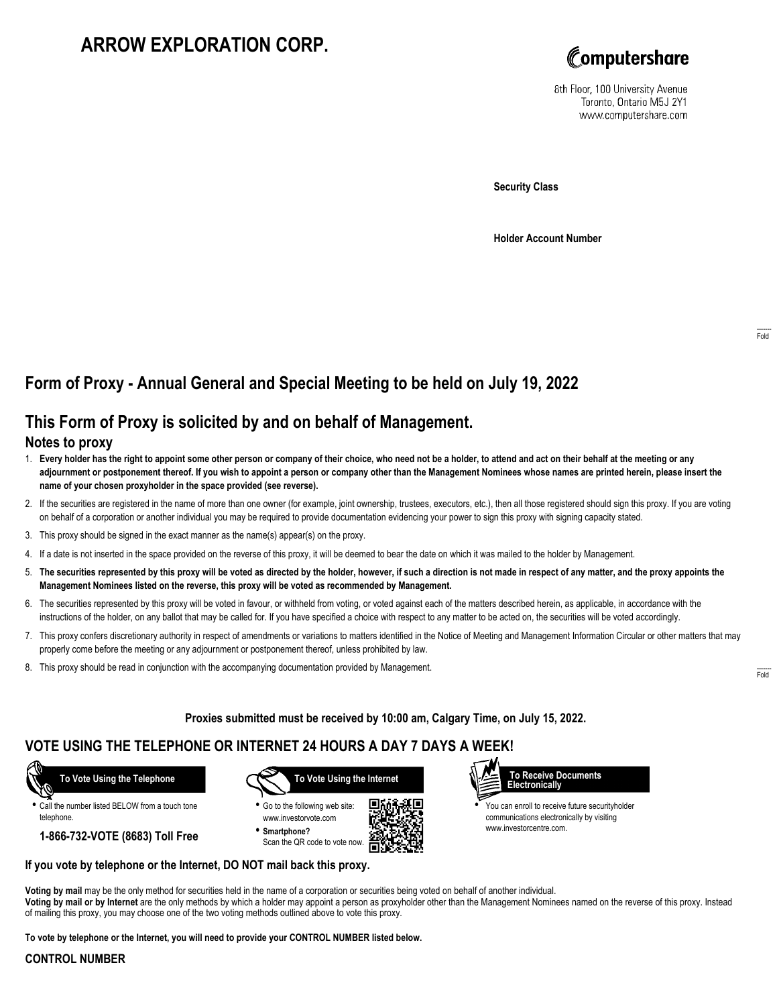# **ARROW EXPLORATION CORP.**



8th Floor, 100 University Avenue Toronto, Ontario M5J 2Y1 www.computershare.com

**Security Class**

**Holder Account Number**

## **Form of Proxy - Annual General and Special Meeting to be held on July 19, 2022**

## **This Form of Proxy is solicited by and on behalf of Management.**

### **Notes to proxy**

- 1. **Every holder has the right to appoint some other person or company of their choice, who need not be a holder, to attend and act on their behalf at the meeting or any adjournment or postponement thereof. If you wish to appoint a person or company other than the Management Nominees whose names are printed herein, please insert the name of your chosen proxyholder in the space provided (see reverse).**
- 2. If the securities are registered in the name of more than one owner (for example, joint ownership, trustees, executors, etc.), then all those registered should sign this proxy. If you are voting on behalf of a corporation or another individual you may be required to provide documentation evidencing your power to sign this proxy with signing capacity stated.
- 3. This proxy should be signed in the exact manner as the name(s) appear(s) on the proxy.
- 4. If a date is not inserted in the space provided on the reverse of this proxy, it will be deemed to bear the date on which it was mailed to the holder by Management.
- 5. **The securities represented by this proxy will be voted as directed by the holder, however, if such a direction is not made in respect of any matter, and the proxy appoints the Management Nominees listed on the reverse, this proxy will be voted as recommended by Management.**
- 6. The securities represented by this proxy will be voted in favour, or withheld from voting, or voted against each of the matters described herein, as applicable, in accordance with the instructions of the holder, on any ballot that may be called for. If you have specified a choice with respect to any matter to be acted on, the securities will be voted accordingly.
- 7. This proxy confers discretionary authority in respect of amendments or variations to matters identified in the Notice of Meeting and Management Information Circular or other matters that may properly come before the meeting or any adjournment or postponement thereof, unless prohibited by law.
- 8. This proxy should be read in conjunction with the accompanying documentation provided by Management.

**Proxies submitted must be received by 10:00 am, Calgary Time, on July 15, 2022.**

### **VOTE USING THE TELEPHONE OR INTERNET 24 HOURS A DAY 7 DAYS A WEEK!**



**•** Call the number listed BELOW from a touch tone telephone.

**1-866-732-VOTE (8683) Toll Free**



**•** Go to the following web site: www.investorvote.com **• Smartphone?**

Scan the QR code to vote now.





**•** You can enroll to receive future securityholder communications electronically by visiting www.investorcentre.com.

#### **If you vote by telephone or the Internet, DO NOT mail back this proxy.**

**Voting by mail** may be the only method for securities held in the name of a corporation or securities being voted on behalf of another individual. **Voting by mail or by Internet** are the only methods by which a holder may appoint a person as proxyholder other than the Management Nominees named on the reverse of this proxy. Instead of mailing this proxy, you may choose one of the two voting methods outlined above to vote this proxy.

**To vote by telephone or the Internet, you will need to provide your CONTROL NUMBER listed below.**

#### **CONTROL NUMBER**